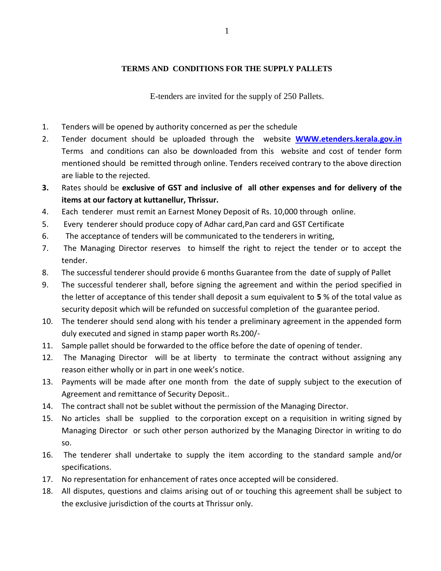## **TERMS AND CONDITIONS FOR THE SUPPLY PALLETS**

E-tenders are invited for the supply of 250 Pallets.

- 1. Tenders will be opened by authority concerned as per the schedule
- 2. Tender document should be uploaded through the website **[WWW.etenders.kerala.gov.in](http://www.etenders.kerala.gov.in/)** Terms and conditions can also be downloaded from this website and cost of tender form mentioned should be remitted through online. Tenders received contrary to the above direction are liable to the rejected.
- **3.** Rates should be **exclusive of GST and inclusive of all other expenses and for delivery of the items at our factory at kuttanellur, Thrissur.**
- 4. Each tenderer must remit an Earnest Money Deposit of Rs. 10,000 through online.
- 5. Every tenderer should produce copy of Adhar card,Pan card and GST Certificate
- 6. The acceptance of tenders will be communicated to the tenderers in writing,
- 7. The Managing Director reserves to himself the right to reject the tender or to accept the tender.
- 8. The successful tenderer should provide 6 months Guarantee from the date of supply of Pallet
- 9. The successful tenderer shall, before signing the agreement and within the period specified in the letter of acceptance of this tender shall deposit a sum equivalent to **5** % of the total value as security deposit which will be refunded on successful completion of the guarantee period.
- 10. The tenderer should send along with his tender a preliminary agreement in the appended form duly executed and signed in stamp paper worth Rs.200/-
- 11. Sample pallet should be forwarded to the office before the date of opening of tender.
- 12. The Managing Director will be at liberty to terminate the contract without assigning any reason either wholly or in part in one week's notice.
- 13. Payments will be made after one month from the date of supply subject to the execution of Agreement and remittance of Security Deposit..
- 14. The contract shall not be sublet without the permission of the Managing Director.
- 15. No articles shall be supplied to the corporation except on a requisition in writing signed by Managing Director or such other person authorized by the Managing Director in writing to do so.
- 16. The tenderer shall undertake to supply the item according to the standard sample and/or specifications.
- 17. No representation for enhancement of rates once accepted will be considered.
- 18. All disputes, questions and claims arising out of or touching this agreement shall be subject to the exclusive jurisdiction of the courts at Thrissur only.